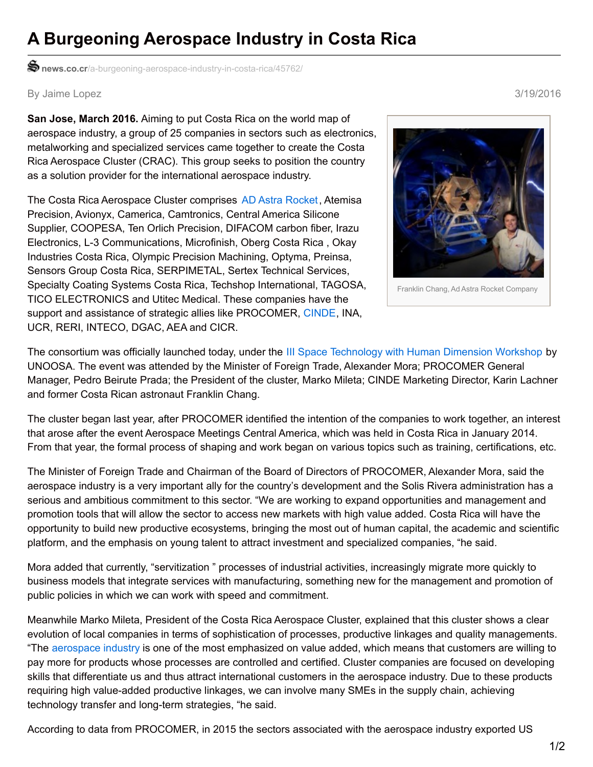## **A Burgeoning Aerospace Industry in Costa Rica**

**news.co.cr**[/a-burgeoning-aerospace-industry-in-costa-rica/45762/](http://news.co.cr/a-burgeoning-aerospace-industry-in-costa-rica/45762/)

By Jaime Lopez 3/19/2016

**San Jose, March 2016.** Aiming to put Costa Rica on the world map of aerospace industry, a group of 25 companies in sectors such as electronics, metalworking and specialized services came together to create the Costa Rica Aerospace Cluster (CRAC). This group seeks to position the country as a solution provider for the international aerospace industry.

The Costa Rica Aerospace Cluster comprises AD Astra [Rocket](http://news.co.cr/ad-astra-rocket-company-signs-1-4m-deal-for-research-and-development/11279/), Atemisa Precision, Avionyx, Camerica, Camtronics, Central America Silicone Supplier, COOPESA, Ten Orlich Precision, DIFACOM carbon fiber, Irazu Electronics, L-3 Communications, Microfinish, Oberg Costa Rica , Okay Industries Costa Rica, Olympic Precision Machining, Optyma, Preinsa, Sensors Group Costa Rica, SERPIMETAL, Sertex Technical Services, Specialty Coating Systems Costa Rica, Techshop International, TAGOSA, TICO ELECTRONICS and Utitec Medical. These companies have the support and assistance of strategic allies like PROCOMER, [CINDE](http://news.co.cr/more-foreign-investment-opportunities-in-costa-rica-for-2016/43826/), INA, UCR, RERI, INTECO, DGAC, AEA and CICR.



Franklin Chang, Ad Astra Rocket Company

The consortium was officially launched today, under the III Space [Technology](http://news.co.cr/united-nations-aerospace-workshop-begins-in-costa-rica/45331/) with Human Dimension Workshop by UNOOSA. The event was attended by the Minister of Foreign Trade, Alexander Mora; PROCOMER General Manager, Pedro Beirute Prada; the President of the cluster, Marko Mileta; CINDE Marketing Director, Karin Lachner and former Costa Rican astronaut Franklin Chang.

The cluster began last year, after PROCOMER identified the intention of the companies to work together, an interest that arose after the event Aerospace Meetings Central America, which was held in Costa Rica in January 2014. From that year, the formal process of shaping and work began on various topics such as training, certifications, etc.

The Minister of Foreign Trade and Chairman of the Board of Directors of PROCOMER, Alexander Mora, said the aerospace industry is a very important ally for the country's development and the Solis Rivera administration has a serious and ambitious commitment to this sector. "We are working to expand opportunities and management and promotion tools that will allow the sector to access new markets with high value added. Costa Rica will have the opportunity to build new productive ecosystems, bringing the most out of human capital, the academic and scientific platform, and the emphasis on young talent to attract investment and specialized companies, "he said.

Mora added that currently, "servitization " processes of industrial activities, increasingly migrate more quickly to business models that integrate services with manufacturing, something new for the management and promotion of public policies in which we can work with speed and commitment.

Meanwhile Marko Mileta, President of the Costa Rica Aerospace Cluster, explained that this cluster shows a clear evolution of local companies in terms of sophistication of processes, productive linkages and quality managements. "The [aerospace](http://news.co.cr/beauty-and-technology-miss-costa-rica-learns-about-aerospace-industry/7178/) industry is one of the most emphasized on value added, which means that customers are willing to pay more for products whose processes are controlled and certified. Cluster companies are focused on developing skills that differentiate us and thus attract international customers in the aerospace industry. Due to these products requiring high value-added productive linkages, we can involve many SMEs in the supply chain, achieving technology transfer and long-term strategies, "he said.

According to data from PROCOMER, in 2015 the sectors associated with the aerospace industry exported US